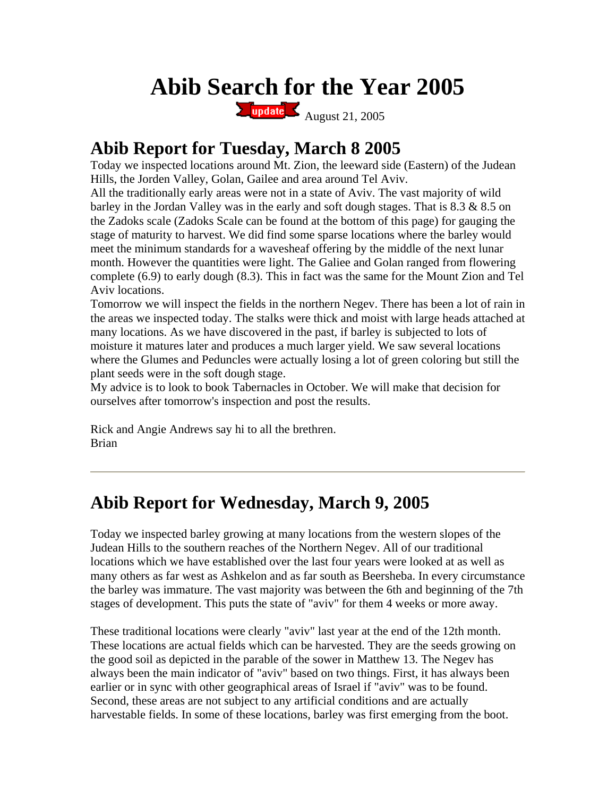# **Abib Search for the Year 2005**

Eupdate August 21, 2005

## **Abib Report for Tuesday, March 8 2005**

Today we inspected locations around Mt. Zion, the leeward side (Eastern) of the Judean Hills, the Jorden Valley, Golan, Gailee and area around Tel Aviv.

All the traditionally early areas were not in a state of Aviv. The vast majority of wild barley in the Jordan Valley was in the early and soft dough stages. That is 8.3 & 8.5 on the Zadoks scale (Zadoks Scale can be found at the bottom of this page) for gauging the stage of maturity to harvest. We did find some sparse locations where the barley would meet the minimum standards for a wavesheaf offering by the middle of the next lunar month. However the quantities were light. The Galiee and Golan ranged from flowering complete (6.9) to early dough (8.3). This in fact was the same for the Mount Zion and Tel Aviv locations.

Tomorrow we will inspect the fields in the northern Negev. There has been a lot of rain in the areas we inspected today. The stalks were thick and moist with large heads attached at many locations. As we have discovered in the past, if barley is subjected to lots of moisture it matures later and produces a much larger yield. We saw several locations where the Glumes and Peduncles were actually losing a lot of green coloring but still the plant seeds were in the soft dough stage.

My advice is to look to book Tabernacles in October. We will make that decision for ourselves after tomorrow's inspection and post the results.

Rick and Angie Andrews say hi to all the brethren. Brian

#### **Abib Report for Wednesday, March 9, 2005**

Today we inspected barley growing at many locations from the western slopes of the Judean Hills to the southern reaches of the Northern Negev. All of our traditional locations which we have established over the last four years were looked at as well as many others as far west as Ashkelon and as far south as Beersheba. In every circumstance the barley was immature. The vast majority was between the 6th and beginning of the 7th stages of development. This puts the state of "aviv" for them 4 weeks or more away.

These traditional locations were clearly "aviv" last year at the end of the 12th month. These locations are actual fields which can be harvested. They are the seeds growing on the good soil as depicted in the parable of the sower in Matthew 13. The Negev has always been the main indicator of "aviv" based on two things. First, it has always been earlier or in sync with other geographical areas of Israel if "aviv" was to be found. Second, these areas are not subject to any artificial conditions and are actually harvestable fields. In some of these locations, barley was first emerging from the boot.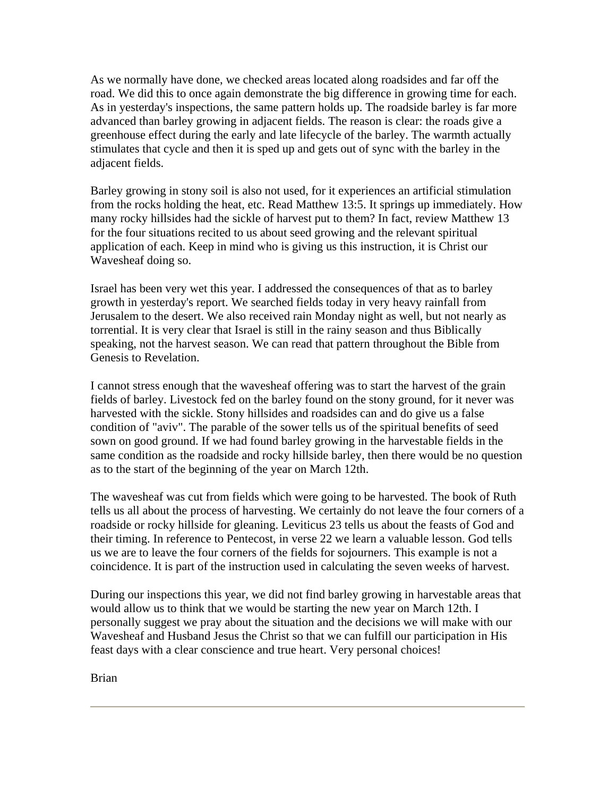As we normally have done, we checked areas located along roadsides and far off the road. We did this to once again demonstrate the big difference in growing time for each. As in yesterday's inspections, the same pattern holds up. The roadside barley is far more advanced than barley growing in adjacent fields. The reason is clear: the roads give a greenhouse effect during the early and late lifecycle of the barley. The warmth actually stimulates that cycle and then it is sped up and gets out of sync with the barley in the adjacent fields.

Barley growing in stony soil is also not used, for it experiences an artificial stimulation from the rocks holding the heat, etc. Read Matthew 13:5. It springs up immediately. How many rocky hillsides had the sickle of harvest put to them? In fact, review Matthew 13 for the four situations recited to us about seed growing and the relevant spiritual application of each. Keep in mind who is giving us this instruction, it is Christ our Wavesheaf doing so.

Israel has been very wet this year. I addressed the consequences of that as to barley growth in yesterday's report. We searched fields today in very heavy rainfall from Jerusalem to the desert. We also received rain Monday night as well, but not nearly as torrential. It is very clear that Israel is still in the rainy season and thus Biblically speaking, not the harvest season. We can read that pattern throughout the Bible from Genesis to Revelation.

I cannot stress enough that the wavesheaf offering was to start the harvest of the grain fields of barley. Livestock fed on the barley found on the stony ground, for it never was harvested with the sickle. Stony hillsides and roadsides can and do give us a false condition of "aviv". The parable of the sower tells us of the spiritual benefits of seed sown on good ground. If we had found barley growing in the harvestable fields in the same condition as the roadside and rocky hillside barley, then there would be no question as to the start of the beginning of the year on March 12th.

The wavesheaf was cut from fields which were going to be harvested. The book of Ruth tells us all about the process of harvesting. We certainly do not leave the four corners of a roadside or rocky hillside for gleaning. Leviticus 23 tells us about the feasts of God and their timing. In reference to Pentecost, in verse 22 we learn a valuable lesson. God tells us we are to leave the four corners of the fields for sojourners. This example is not a coincidence. It is part of the instruction used in calculating the seven weeks of harvest.

During our inspections this year, we did not find barley growing in harvestable areas that would allow us to think that we would be starting the new year on March 12th. I personally suggest we pray about the situation and the decisions we will make with our Wavesheaf and Husband Jesus the Christ so that we can fulfill our participation in His feast days with a clear conscience and true heart. Very personal choices!

Brian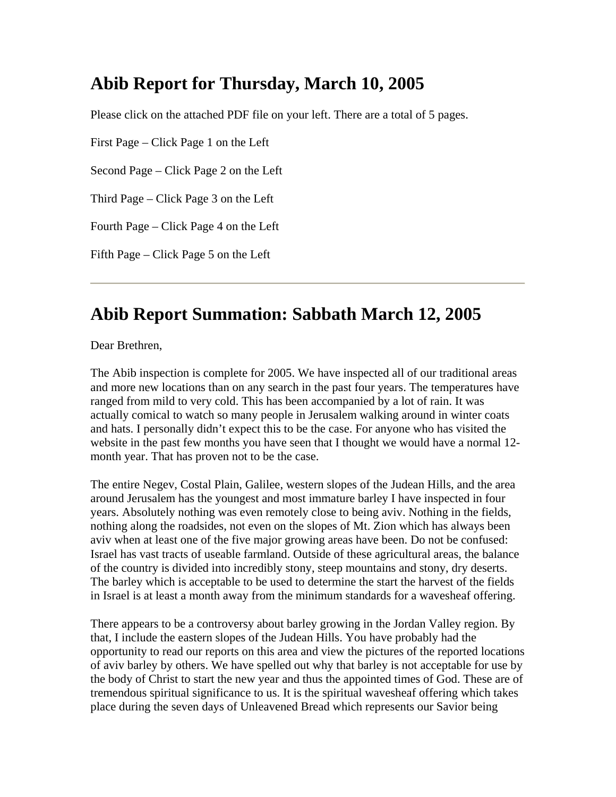## **Abib Report for Thursday, March 10, 2005**

Please click on the attached PDF file on your left. There are a total of 5 pages.

First Page – Click Page 1 on the Left

Second Page – Click Page 2 on the Left

Third Page – Click Page 3 on the Left

Fourth Page – Click Page 4 on the Left

Fifth Page – Click Page 5 on the Left

#### **Abib Report Summation: Sabbath March 12, 2005**

Dear Brethren,

The Abib inspection is complete for 2005. We have inspected all of our traditional areas and more new locations than on any search in the past four years. The temperatures have ranged from mild to very cold. This has been accompanied by a lot of rain. It was actually comical to watch so many people in Jerusalem walking around in winter coats and hats. I personally didn't expect this to be the case. For anyone who has visited the website in the past few months you have seen that I thought we would have a normal 12 month year. That has proven not to be the case.

The entire Negev, Costal Plain, Galilee, western slopes of the Judean Hills, and the area around Jerusalem has the youngest and most immature barley I have inspected in four years. Absolutely nothing was even remotely close to being aviv. Nothing in the fields, nothing along the roadsides, not even on the slopes of Mt. Zion which has always been aviv when at least one of the five major growing areas have been. Do not be confused: Israel has vast tracts of useable farmland. Outside of these agricultural areas, the balance of the country is divided into incredibly stony, steep mountains and stony, dry deserts. The barley which is acceptable to be used to determine the start the harvest of the fields in Israel is at least a month away from the minimum standards for a wavesheaf offering.

There appears to be a controversy about barley growing in the Jordan Valley region. By that, I include the eastern slopes of the Judean Hills. You have probably had the opportunity to read our reports on this area and view the pictures of the reported locations of aviv barley by others. We have spelled out why that barley is not acceptable for use by the body of Christ to start the new year and thus the appointed times of God. These are of tremendous spiritual significance to us. It is the spiritual wavesheaf offering which takes place during the seven days of Unleavened Bread which represents our Savior being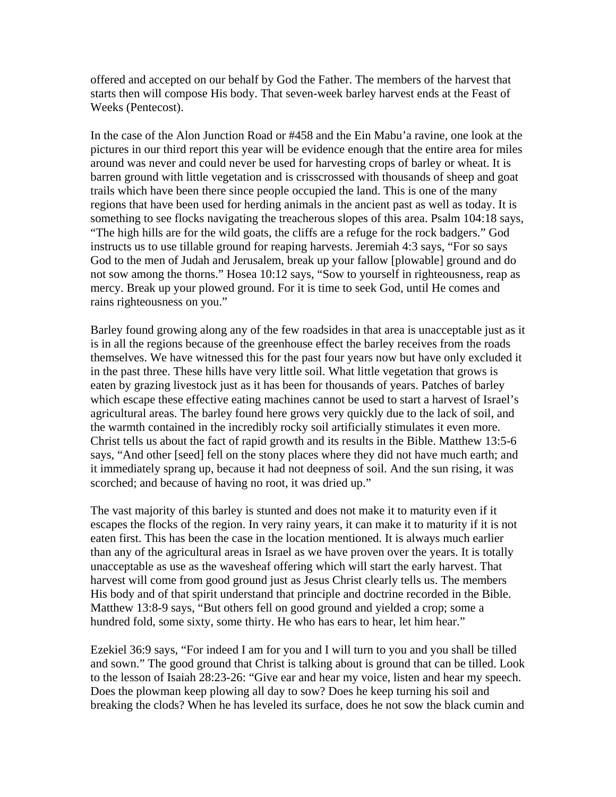offered and accepted on our behalf by God the Father. The members of the harvest that starts then will compose His body. That seven-week barley harvest ends at the Feast of Weeks (Pentecost).

In the case of the Alon Junction Road or #458 and the Ein Mabu'a ravine, one look at the pictures in our third report this year will be evidence enough that the entire area for miles around was never and could never be used for harvesting crops of barley or wheat. It is barren ground with little vegetation and is crisscrossed with thousands of sheep and goat trails which have been there since people occupied the land. This is one of the many regions that have been used for herding animals in the ancient past as well as today. It is something to see flocks navigating the treacherous slopes of this area. Psalm 104:18 says, "The high hills are for the wild goats, the cliffs are a refuge for the rock badgers." God instructs us to use tillable ground for reaping harvests. Jeremiah 4:3 says, "For so says God to the men of Judah and Jerusalem, break up your fallow [plowable] ground and do not sow among the thorns." Hosea 10:12 says, "Sow to yourself in righteousness, reap as mercy. Break up your plowed ground. For it is time to seek God, until He comes and rains righteousness on you."

Barley found growing along any of the few roadsides in that area is unacceptable just as it is in all the regions because of the greenhouse effect the barley receives from the roads themselves. We have witnessed this for the past four years now but have only excluded it in the past three. These hills have very little soil. What little vegetation that grows is eaten by grazing livestock just as it has been for thousands of years. Patches of barley which escape these effective eating machines cannot be used to start a harvest of Israel's agricultural areas. The barley found here grows very quickly due to the lack of soil, and the warmth contained in the incredibly rocky soil artificially stimulates it even more. Christ tells us about the fact of rapid growth and its results in the Bible. Matthew 13:5-6 says, "And other [seed] fell on the stony places where they did not have much earth; and it immediately sprang up, because it had not deepness of soil. And the sun rising, it was scorched; and because of having no root, it was dried up."

The vast majority of this barley is stunted and does not make it to maturity even if it escapes the flocks of the region. In very rainy years, it can make it to maturity if it is not eaten first. This has been the case in the location mentioned. It is always much earlier than any of the agricultural areas in Israel as we have proven over the years. It is totally unacceptable as use as the wavesheaf offering which will start the early harvest. That harvest will come from good ground just as Jesus Christ clearly tells us. The members His body and of that spirit understand that principle and doctrine recorded in the Bible. Matthew 13:8-9 says, "But others fell on good ground and yielded a crop; some a hundred fold, some sixty, some thirty. He who has ears to hear, let him hear."

Ezekiel 36:9 says, "For indeed I am for you and I will turn to you and you shall be tilled and sown." The good ground that Christ is talking about is ground that can be tilled. Look to the lesson of Isaiah 28:23-26: "Give ear and hear my voice, listen and hear my speech. Does the plowman keep plowing all day to sow? Does he keep turning his soil and breaking the clods? When he has leveled its surface, does he not sow the black cumin and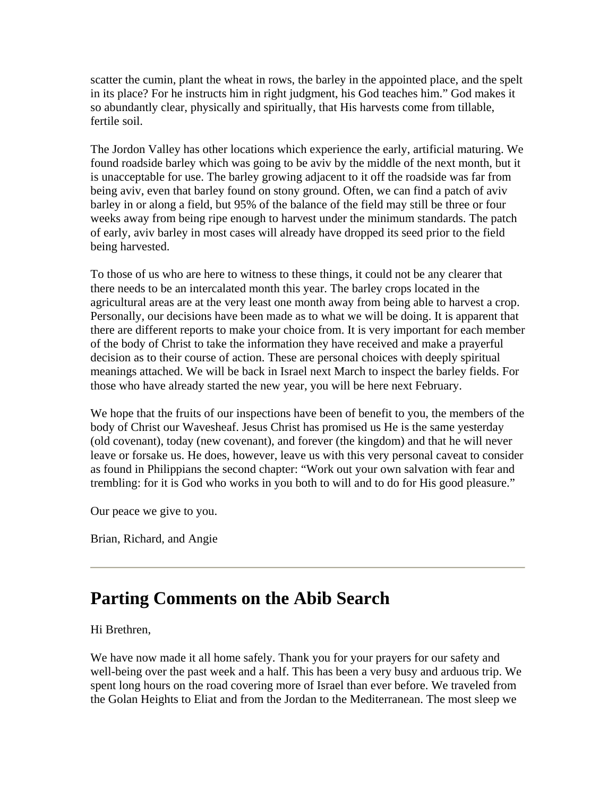scatter the cumin, plant the wheat in rows, the barley in the appointed place, and the spelt in its place? For he instructs him in right judgment, his God teaches him." God makes it so abundantly clear, physically and spiritually, that His harvests come from tillable, fertile soil.

The Jordon Valley has other locations which experience the early, artificial maturing. We found roadside barley which was going to be aviv by the middle of the next month, but it is unacceptable for use. The barley growing adjacent to it off the roadside was far from being aviv, even that barley found on stony ground. Often, we can find a patch of aviv barley in or along a field, but 95% of the balance of the field may still be three or four weeks away from being ripe enough to harvest under the minimum standards. The patch of early, aviv barley in most cases will already have dropped its seed prior to the field being harvested.

To those of us who are here to witness to these things, it could not be any clearer that there needs to be an intercalated month this year. The barley crops located in the agricultural areas are at the very least one month away from being able to harvest a crop. Personally, our decisions have been made as to what we will be doing. It is apparent that there are different reports to make your choice from. It is very important for each member of the body of Christ to take the information they have received and make a prayerful decision as to their course of action. These are personal choices with deeply spiritual meanings attached. We will be back in Israel next March to inspect the barley fields. For those who have already started the new year, you will be here next February.

We hope that the fruits of our inspections have been of benefit to you, the members of the body of Christ our Wavesheaf. Jesus Christ has promised us He is the same yesterday (old covenant), today (new covenant), and forever (the kingdom) and that he will never leave or forsake us. He does, however, leave us with this very personal caveat to consider as found in Philippians the second chapter: "Work out your own salvation with fear and trembling: for it is God who works in you both to will and to do for His good pleasure."

Our peace we give to you.

Brian, Richard, and Angie

#### **Parting Comments on the Abib Search**

#### Hi Brethren,

We have now made it all home safely. Thank you for your prayers for our safety and well-being over the past week and a half. This has been a very busy and arduous trip. We spent long hours on the road covering more of Israel than ever before. We traveled from the Golan Heights to Eliat and from the Jordan to the Mediterranean. The most sleep we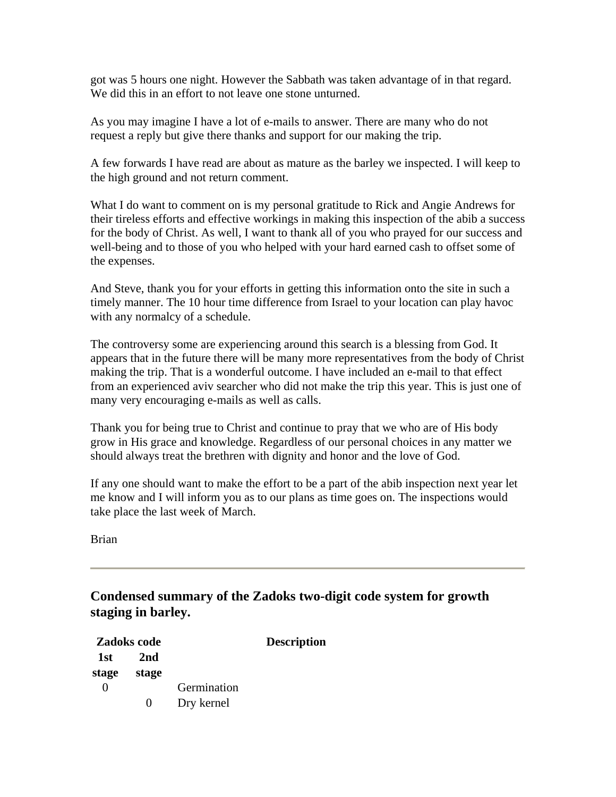got was 5 hours one night. However the Sabbath was taken advantage of in that regard. We did this in an effort to not leave one stone unturned.

As you may imagine I have a lot of e-mails to answer. There are many who do not request a reply but give there thanks and support for our making the trip.

A few forwards I have read are about as mature as the barley we inspected. I will keep to the high ground and not return comment.

What I do want to comment on is my personal gratitude to Rick and Angie Andrews for their tireless efforts and effective workings in making this inspection of the abib a success for the body of Christ. As well, I want to thank all of you who prayed for our success and well-being and to those of you who helped with your hard earned cash to offset some of the expenses.

And Steve, thank you for your efforts in getting this information onto the site in such a timely manner. The 10 hour time difference from Israel to your location can play havoc with any normalcy of a schedule.

The controversy some are experiencing around this search is a blessing from God. It appears that in the future there will be many more representatives from the body of Christ making the trip. That is a wonderful outcome. I have included an e-mail to that effect from an experienced aviv searcher who did not make the trip this year. This is just one of many very encouraging e-mails as well as calls.

Thank you for being true to Christ and continue to pray that we who are of His body grow in His grace and knowledge. Regardless of our personal choices in any matter we should always treat the brethren with dignity and honor and the love of God.

If any one should want to make the effort to be a part of the abib inspection next year let me know and I will inform you as to our plans as time goes on. The inspections would take place the last week of March.

Brian

**Condensed summary of the Zadoks two-digit code system for growth staging in barley.** 

| Zadoks code       |              |                           | <b>Description</b> |
|-------------------|--------------|---------------------------|--------------------|
| 1st<br>stage      | 2nd<br>stage |                           |                    |
| $\mathbf{\Omega}$ | 0            | Germination<br>Dry kernel |                    |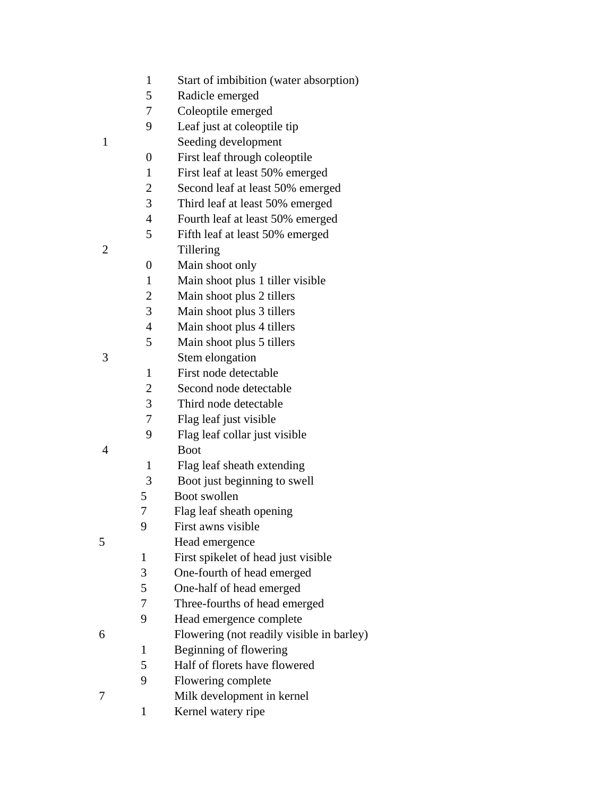- 1 Start of imbibition (water absorption)
- 5 Radicle emerged
- 7 Coleoptile emerged
- 9 Leaf just at coleoptile tip
- 1 Seeding development
	- 0 First leaf through coleoptile
	- 1 First leaf at least 50% emerged
	- 2 Second leaf at least 50% emerged
	- 3 Third leaf at least 50% emerged
	- 4 Fourth leaf at least 50% emerged
- 5 Fifth leaf at least 50% emerged 2 Tillering
- 
- 0 Main shoot only
- 1 Main shoot plus 1 tiller visible
- 2 Main shoot plus 2 tillers
- 3 Main shoot plus 3 tillers
- 4 Main shoot plus 4 tillers
- 5 Main shoot plus 5 tillers
- 3 Stem elongation
	- 1 First node detectable
	- 2 Second node detectable
	- 3 Third node detectable
	- 7 Flag leaf just visible
- 9 Flag leaf collar just visible 4 Boot
	- 1 Flag leaf sheath extending
	- 3 Boot just beginning to swell
	- 5 Boot swollen
	- 7 Flag leaf sheath opening
	- 9 First awns visible
- 5 Head emergence
	- 1 First spikelet of head just visible
		- 3 One-fourth of head emerged
	- 5 One-half of head emerged
	- 7 Three-fourths of head emerged
	- 9 Head emergence complete
- 6 Flowering (not readily visible in barley)
	- 1 Beginning of flowering
	- 5 Half of florets have flowered
	- 9 Flowering complete
- 7 Milk development in kernel
	- 1 Kernel watery ripe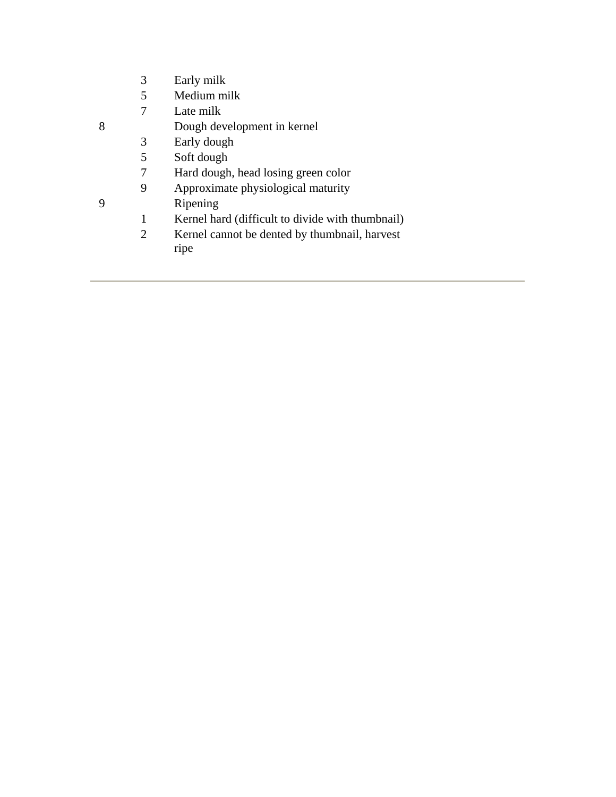- 3 Early milk
- 5 Medium milk
- 7 Late milk
- 8 Dough development in kernel
	- 3 Early dough
	- 5 Soft dough
	- 7 Hard dough, head losing green color
	- 9 Approximate physiological maturity
- 9 Ripening
	- 1 Kernel hard (difficult to divide with thumbnail)
	- 2 Kernel cannot be dented by thumbnail, harvest ripe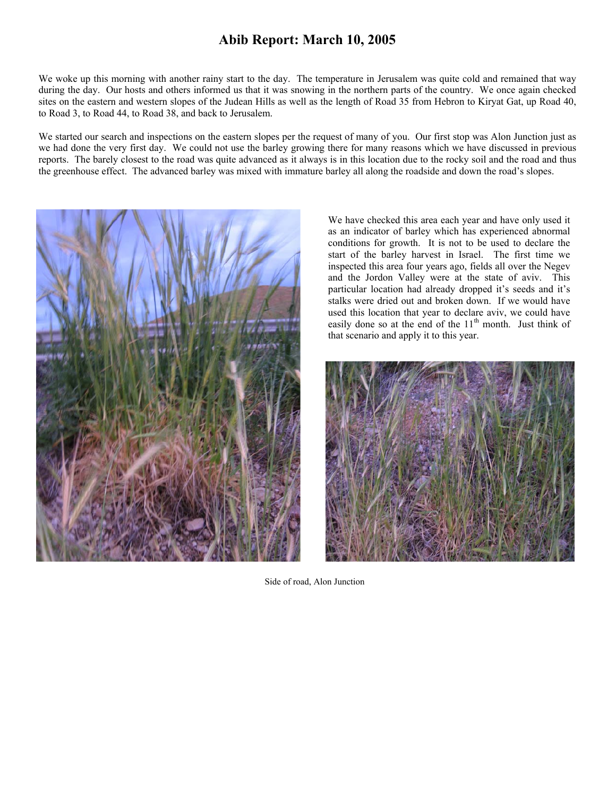#### **Abib Report: March 10, 2005**

We woke up this morning with another rainy start to the day. The temperature in Jerusalem was quite cold and remained that way during the day. Our hosts and others informed us that it was snowing in the northern parts of the country. We once again checked sites on the eastern and western slopes of the Judean Hills as well as the length of Road 35 from Hebron to Kiryat Gat, up Road 40, to Road 3, to Road 44, to Road 38, and back to Jerusalem.

We started our search and inspections on the eastern slopes per the request of many of you. Our first stop was Alon Junction just as we had done the very first day. We could not use the barley growing there for many reasons which we have discussed in previous reports. The barely closest to the road was quite advanced as it always is in this location due to the rocky soil and the road and thus the greenhouse effect. The advanced barley was mixed with immature barley all along the roadside and down the road's slopes.



We have checked this area each year and have only used it as an indicator of barley which has experienced abnormal conditions for growth. It is not to be used to declare the start of the barley harvest in Israel. The first time we inspected this area four years ago, fields all over the Negev and the Jordon Valley were at the state of aviv. This particular location had already dropped it's seeds and it's stalks were dried out and broken down. If we would have used this location that year to declare aviv, we could have easily done so at the end of the  $11<sup>th</sup>$  month. Just think of that scenario and apply it to this year.



Side of road, Alon Junction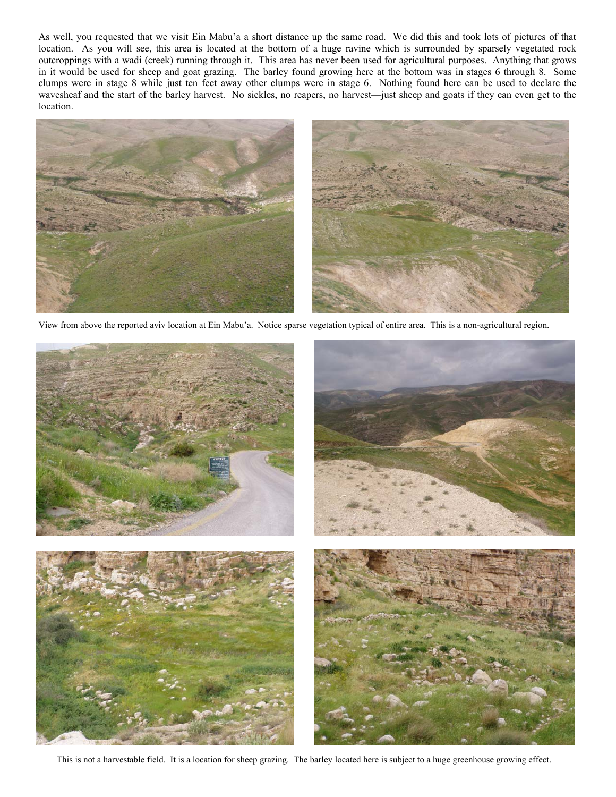As well, you requested that we visit Ein Mabu'a a short distance up the same road. We did this and took lots of pictures of that location. As you will see, this area is located at the bottom of a huge ravine which is surrounded by sparsely vegetated rock outcroppings with a wadi (creek) running through it. This area has never been used for agricultural purposes. Anything that grows in it would be used for sheep and goat grazing. The barley found growing here at the bottom was in stages 6 through 8. Some clumps were in stage 8 while just ten feet away other clumps were in stage 6. Nothing found here can be used to declare the wavesheaf and the start of the barley harvest. No sickles, no reapers, no harvest—just sheep and goats if they can even get to the **location** 



View from above the reported aviv location at Ein Mabu'a. Notice sparse vegetation typical of entire area. This is a non-agricultural region.



This is not a harvestable field. It is a location for sheep grazing. The barley located here is subject to a huge greenhouse growing effect.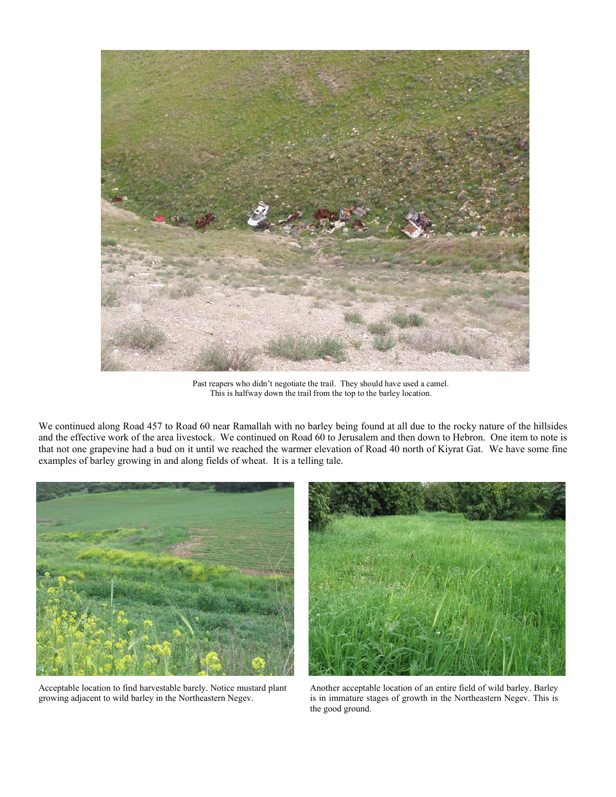

Past reapers who didn't negotiate the trail. They should have used a camel. This is halfway down the trail from the top to the barley location.

We continued along Road 457 to Road 60 near Ramallah with no barley being found at all due to the rocky nature of the hillsides and the effective work of the area livestock. We continued on Road 60 to Jerusalem and then down to Hebron. One item to note is that not one grapevine had a bud on it until we reached the warmer elevation of Road 40 north of Kiyrat Gat. We have some fine examples of barley growing in and along fields of wheat. It is a telling tale.



Acceptable location to find harvestable barely. Notice mustard plant growing adjacent to wild barley in the Northeastern Negev.



Another acceptable location of an entire field of wild barley. Barley is in immature stages of growth in the Northeastern Negev. This is the good ground.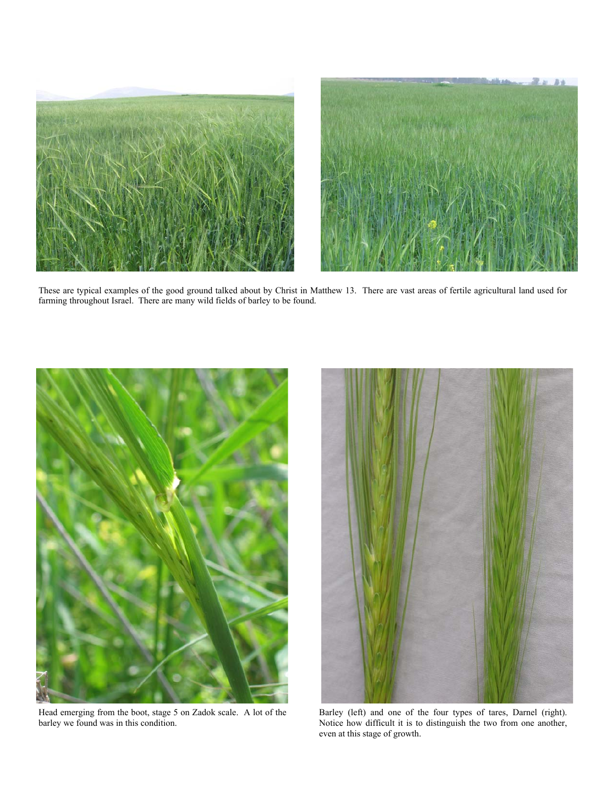



These are typical examples of the good ground talked about by Christ in Matthew 13. There are vast areas of fertile agricultural land used for farming throughout Israel. There are many wild fields of barley to be found.



Head emerging from the boot, stage 5 on Zadok scale. A lot of the barley we found was in this condition.



Barley (left) and one of the four types of tares, Darnel (right). Notice how difficult it is to distinguish the two from one another, even at this stage of growth.